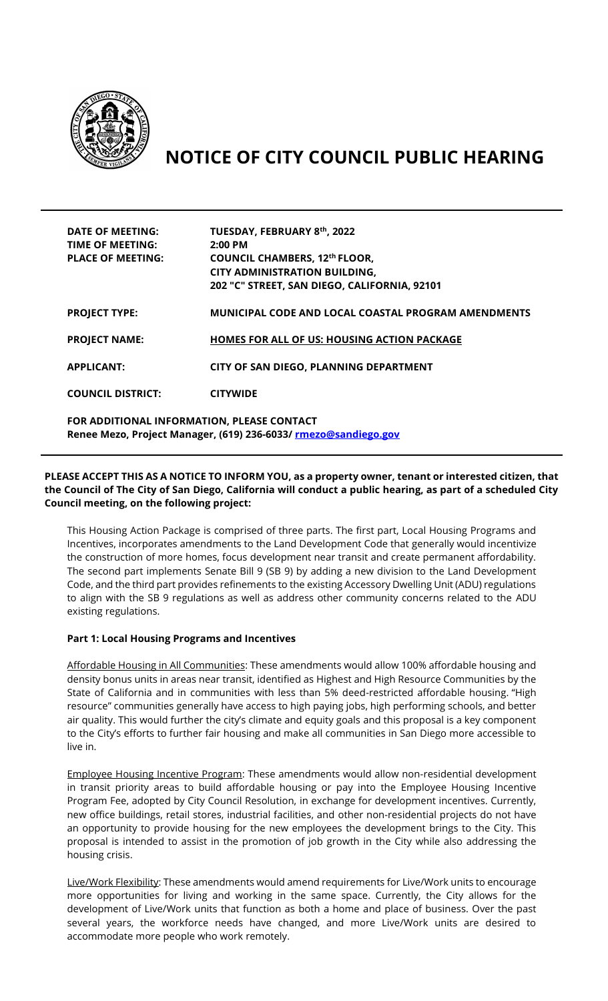

# **NOTICE OF CITY COUNCIL PUBLIC HEARING**

| <b>DATE OF MEETING:</b><br>TIME OF MEETING:<br><b>PLACE OF MEETING:</b> | TUESDAY, FEBRUARY 8th, 2022<br>$2:00$ PM<br><b>COUNCIL CHAMBERS, 12th FLOOR,</b><br><b>CITY ADMINISTRATION BUILDING,</b><br>202 "C" STREET, SAN DIEGO, CALIFORNIA, 92101 |
|-------------------------------------------------------------------------|--------------------------------------------------------------------------------------------------------------------------------------------------------------------------|
| <b>PROJECT TYPE:</b>                                                    | <b>MUNICIPAL CODE AND LOCAL COASTAL PROGRAM AMENDMENTS</b>                                                                                                               |
| <b>PROJECT NAME:</b>                                                    | <b>HOMES FOR ALL OF US: HOUSING ACTION PACKAGE</b>                                                                                                                       |
| <b>APPLICANT:</b>                                                       | CITY OF SAN DIEGO, PLANNING DEPARTMENT                                                                                                                                   |
| <b>COUNCIL DISTRICT:</b>                                                | <b>CITYWIDE</b>                                                                                                                                                          |
| FOR ADDITIONAL INFORMATION, PLEASE CONTACT                              |                                                                                                                                                                          |

## **PLEASE ACCEPT THIS AS A NOTICE TO INFORM YOU, as a property owner, tenant or interested citizen, that the Council of The City of San Diego, California will conduct a public hearing, as part of a scheduled City Council meeting, on the following project:**

**Renee Mezo, Project Manager, (619) 236-6033/ [rmezo@sandiego.gov](mailto:rmezo@sandiego.gov)**

This Housing Action Package is comprised of three parts. The first part, Local Housing Programs and Incentives, incorporates amendments to the Land Development Code that generally would incentivize the construction of more homes, focus development near transit and create permanent affordability. The second part implements Senate Bill 9 (SB 9) by adding a new division to the Land Development Code, and the third part provides refinements to the existing Accessory Dwelling Unit (ADU) regulations to align with the SB 9 regulations as well as address other community concerns related to the ADU existing regulations.

### **Part 1: Local Housing Programs and Incentives**

Affordable Housing in All Communities: These amendments would allow 100% affordable housing and density bonus units in areas near transit, identified as Highest and High Resource Communities by the State of California and in communities with less than 5% deed-restricted affordable housing. "High resource" communities generally have access to high paying jobs, high performing schools, and better air quality. This would further the city's climate and equity goals and this proposal is a key component to the City's efforts to further fair housing and make all communities in San Diego more accessible to live in.

Employee Housing Incentive Program: These amendments would allow non-residential development in transit priority areas to build affordable housing or pay into the Employee Housing Incentive Program Fee, adopted by City Council Resolution, in exchange for development incentives. Currently, new office buildings, retail stores, industrial facilities, and other non-residential projects do not have an opportunity to provide housing for the new employees the development brings to the City. This proposal is intended to assist in the promotion of job growth in the City while also addressing the housing crisis.

Live/Work Flexibility: These amendments would amend requirements for Live/Work units to encourage more opportunities for living and working in the same space. Currently, the City allows for the development of Live/Work units that function as both a home and place of business. Over the past several years, the workforce needs have changed, and more Live/Work units are desired to accommodate more people who work remotely.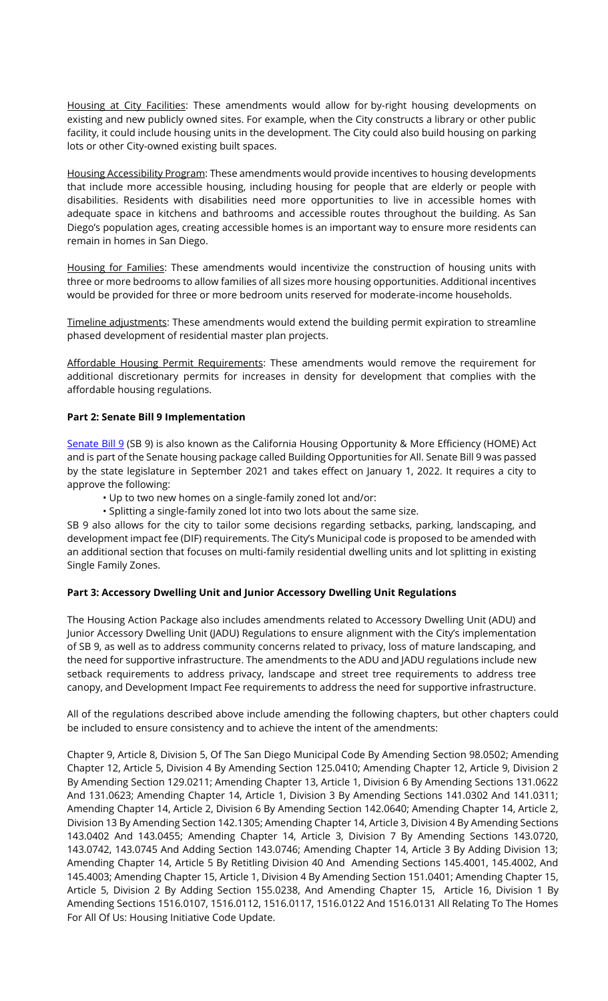Housing at City Facilities: These amendments would allow for by-right housing developments on existing and new publicly owned sites. For example, when the City constructs a library or other public facility, it could include housing units in the development. The City could also build housing on parking lots or other City-owned existing built spaces.

Housing Accessibility Program: These amendments would provide incentives to housing developments that include more accessible housing, including housing for people that are elderly or people with disabilities. Residents with disabilities need more opportunities to live in accessible homes with adequate space in kitchens and bathrooms and accessible routes throughout the building. As San Diego's population ages, creating accessible homes is an important way to ensure more residents can remain in homes in San Diego.

Housing for Families: These amendments would incentivize the construction of housing units with three or more bedrooms to allow families of all sizes more housing opportunities. Additional incentives would be provided for three or more bedroom units reserved for moderate-income households.

Timeline adjustments: These amendments would extend the building permit expiration to streamline phased development of residential master plan projects.

Affordable Housing Permit Requirements: These amendments would remove the requirement for additional discretionary permits for increases in density for development that complies with the affordable housing regulations.

### **Part 2: Senate Bill 9 Implementation**

[Senate Bill 9](https://leginfo.legislature.ca.gov/faces/billNavClient.xhtml?bill_id=202120220SB9) (SB 9) is also known as the California Housing Opportunity & More Efficiency (HOME) Act and is part of the Senate housing package called Building Opportunities for All. Senate Bill 9 was passed by the state legislature in September 2021 and takes effect on January 1, 2022. It requires a city to approve the following:

- Up to two new homes on a single-family zoned lot and/or:
- Splitting a single-family zoned lot into two lots about the same size.

SB 9 also allows for the city to tailor some decisions regarding setbacks, parking, landscaping, and development impact fee (DIF) requirements. The City's Municipal code is proposed to be amended with an additional section that focuses on multi-family residential dwelling units and lot splitting in existing Single Family Zones.

### **Part 3: Accessory Dwelling Unit and Junior Accessory Dwelling Unit Regulations**

The Housing Action Package also includes amendments related to Accessory Dwelling Unit (ADU) and Junior Accessory Dwelling Unit (JADU) Regulations to ensure alignment with the City's implementation of SB 9, as well as to address community concerns related to privacy, loss of mature landscaping, and the need for supportive infrastructure. The amendments to the ADU and JADU regulations include new setback requirements to address privacy, landscape and street tree requirements to address tree canopy, and Development Impact Fee requirements to address the need for supportive infrastructure.

All of the regulations described above include amending the following chapters, but other chapters could be included to ensure consistency and to achieve the intent of the amendments:

Chapter 9, Article 8, Division 5, Of The San Diego Municipal Code By Amending Section 98.0502; Amending Chapter 12, Article 5, Division 4 By Amending Section 125.0410; Amending Chapter 12, Article 9, Division 2 By Amending Section 129.0211; Amending Chapter 13, Article 1, Division 6 By Amending Sections 131.0622 And 131.0623; Amending Chapter 14, Article 1, Division 3 By Amending Sections 141.0302 And 141.0311; Amending Chapter 14, Article 2, Division 6 By Amending Section 142.0640; Amending Chapter 14, Article 2, Division 13 By Amending Section 142.1305; Amending Chapter 14, Article 3, Division 4 By Amending Sections 143.0402 And 143.0455; Amending Chapter 14, Article 3, Division 7 By Amending Sections 143.0720, 143.0742, 143.0745 And Adding Section 143.0746; Amending Chapter 14, Article 3 By Adding Division 13; Amending Chapter 14, Article 5 By Retitling Division 40 And Amending Sections 145.4001, 145.4002, And 145.4003; Amending Chapter 15, Article 1, Division 4 By Amending Section 151.0401; Amending Chapter 15, Article 5, Division 2 By Adding Section 155.0238, And Amending Chapter 15, Article 16, Division 1 By Amending Sections 1516.0107, 1516.0112, 1516.0117, 1516.0122 And 1516.0131 All Relating To The Homes For All Of Us: Housing Initiative Code Update.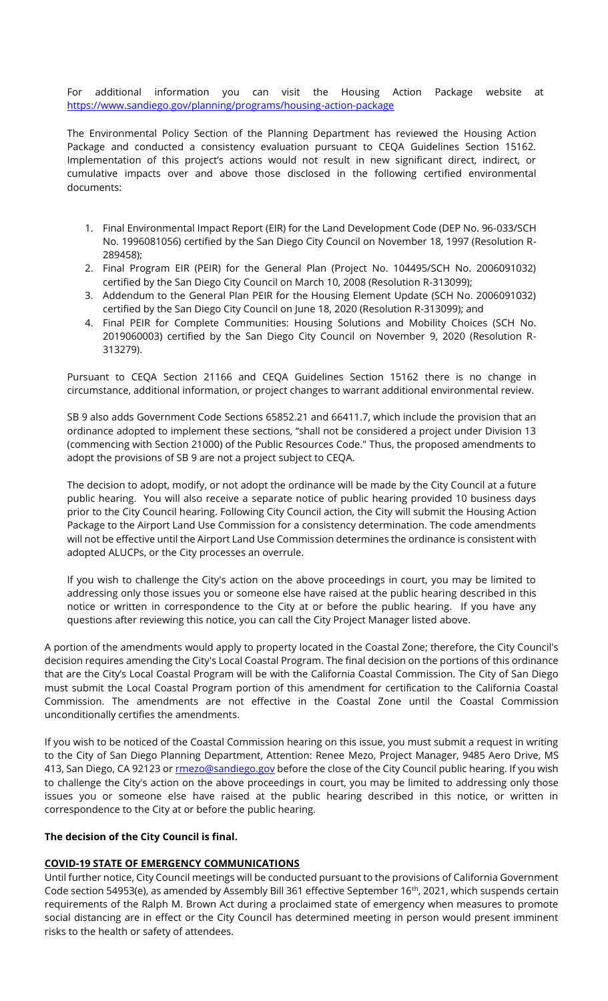For additional information you can visit the Housing Action Package website at <https://www.sandiego.gov/planning/programs/housing-action-package>

The Environmental Policy Section of the Planning Department has reviewed the Housing Action Package and conducted a consistency evaluation pursuant to CEQA Guidelines Section 15162. Implementation of this project's actions would not result in new significant direct, indirect, or cumulative impacts over and above those disclosed in the following certified environmental documents:

- 1. Final Environmental Impact Report (EIR) for the Land Development Code (DEP No. 96-033/SCH No. 1996081056) certified by the San Diego City Council on November 18, 1997 (Resolution R-289458);
- 2. Final Program EIR (PEIR) for the General Plan (Project No. 104495/SCH No. 2006091032) certified by the San Diego City Council on March 10, 2008 (Resolution R-313099);
- 3. Addendum to the General Plan PEIR for the Housing Element Update (SCH No. 2006091032) certified by the San Diego City Council on June 18, 2020 (Resolution R-313099); and
- 4. Final PEIR for Complete Communities: Housing Solutions and Mobility Choices (SCH No. 2019060003) certified by the San Diego City Council on November 9, 2020 (Resolution R-313279).

Pursuant to CEQA Section 21166 and CEQA Guidelines Section 15162 there is no change in circumstance, additional information, or project changes to warrant additional environmental review.

SB 9 also adds Government Code Sections 65852.21 and 66411.7, which include the provision that an ordinance adopted to implement these sections, "shall not be considered a project under Division 13 (commencing with Section 21000) of the Public Resources Code." Thus, the proposed amendments to adopt the provisions of SB 9 are not a project subject to CEQA.

The decision to adopt, modify, or not adopt the ordinance will be made by the City Council at a future public hearing. You will also receive a separate notice of public hearing provided 10 business days prior to the City Council hearing. Following City Council action, the City will submit the Housing Action Package to the Airport Land Use Commission for a consistency determination. The code amendments will not be effective until the Airport Land Use Commission determines the ordinance is consistent with adopted ALUCPs, or the City processes an overrule.

If you wish to challenge the City's action on the above proceedings in court, you may be limited to addressing only those issues you or someone else have raised at the public hearing described in this notice or written in correspondence to the City at or before the public hearing. If you have any questions after reviewing this notice, you can call the City Project Manager listed above.

A portion of the amendments would apply to property located in the Coastal Zone; therefore, the City Council's decision requires amending the City's Local Coastal Program. The final decision on the portions of this ordinance that are the City's Local Coastal Program will be with the California Coastal Commission. The City of San Diego must submit the Local Coastal Program portion of this amendment for certification to the California Coastal Commission. The amendments are not effective in the Coastal Zone until the Coastal Commission unconditionally certifies the amendments.

If you wish to be noticed of the Coastal Commission hearing on this issue, you must submit a request in writing to the City of San Diego Planning Department, Attention: Renee Mezo, Project Manager, 9485 Aero Drive, MS 413, San Diego, CA 92123 o[r rmezo@sandiego.gov](mailto:rmezo@sandiego.gov) before the close of the City Council public hearing. If you wish to challenge the City's action on the above proceedings in court, you may be limited to addressing only those issues you or someone else have raised at the public hearing described in this notice, or written in correspondence to the City at or before the public hearing.

### **The decision of the City Council is final.**

### **COVID-19 STATE OF EMERGENCY COMMUNICATIONS**

Until further notice, City Council meetings will be conducted pursuant to the provisions of California Government Code section 54953(e), as amended by Assembly Bill 361 effective September 16<sup>th</sup>, 2021, which suspends certain requirements of the Ralph M. Brown Act during a proclaimed state of emergency when measures to promote social distancing are in effect or the City Council has determined meeting in person would present imminent risks to the health or safety of attendees.